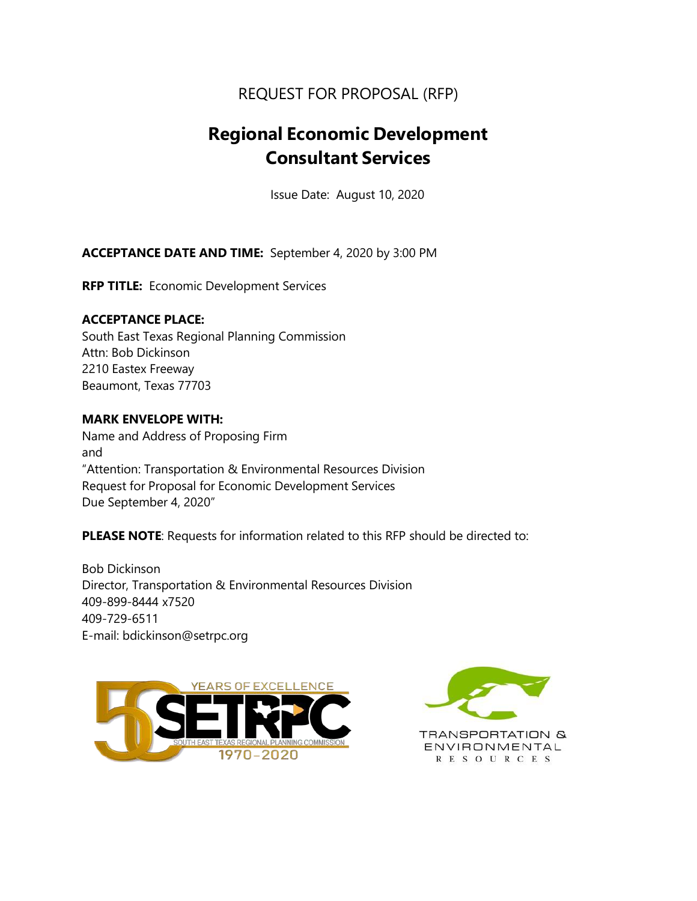# REQUEST FOR PROPOSAL (RFP)

# **Regional Economic Development Consultant Services**

Issue Date: August 10, 2020

## **ACCEPTANCE DATE AND TIME:** September 4, 2020 by 3:00 PM

**RFP TITLE:** Economic Development Services

## **ACCEPTANCE PLACE:**

South East Texas Regional Planning Commission Attn: Bob Dickinson 2210 Eastex Freeway Beaumont, Texas 77703

### **MARK ENVELOPE WITH:**

Name and Address of Proposing Firm and "Attention: Transportation & Environmental Resources Division Request for Proposal for Economic Development Services Due September 4, 2020"

**PLEASE NOTE**: Requests for information related to this RFP should be directed to:

Bob Dickinson Director, Transportation & Environmental Resources Division 409-899-8444 x7520 409-729-6511 E-mail: [bdickinson@setrpc.org](mailto:bdickinson@setrpc.org)



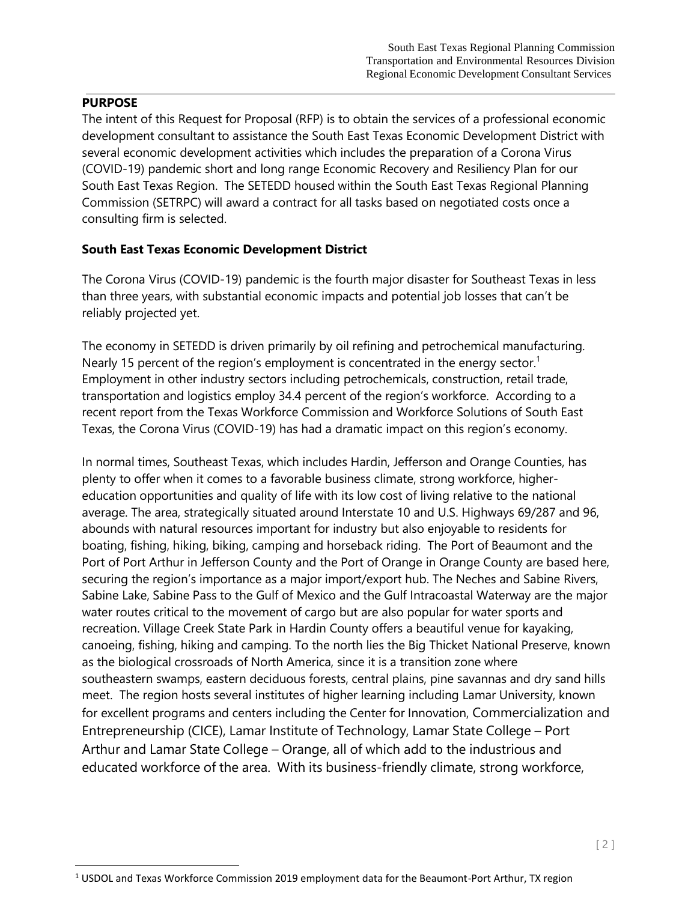## **PURPOSE**

The intent of this Request for Proposal (RFP) is to obtain the services of a professional economic development consultant to assistance the South East Texas Economic Development District with several economic development activities which includes the preparation of a Corona Virus (COVID-19) pandemic short and long range Economic Recovery and Resiliency Plan for our South East Texas Region. The SETEDD housed within the South East Texas Regional Planning Commission (SETRPC) will award a contract for all tasks based on negotiated costs once a consulting firm is selected.

## **South East Texas Economic Development District**

The Corona Virus (COVID-19) pandemic is the fourth major disaster for Southeast Texas in less than three years, with substantial economic impacts and potential job losses that can't be reliably projected yet.

The economy in SETEDD is driven primarily by oil refining and petrochemical manufacturing. Nearly 15 percent of the region's employment is concentrated in the energy sector.<sup>1</sup> Employment in other industry sectors including petrochemicals, construction, retail trade, transportation and logistics employ 34.4 percent of the region's workforce. According to a recent report from the Texas Workforce Commission and Workforce Solutions of South East Texas, the Corona Virus (COVID-19) has had a dramatic impact on this region's economy.

In normal times, Southeast Texas, which includes Hardin, Jefferson and Orange Counties, has plenty to offer when it comes to a favorable business climate, strong workforce, highereducation opportunities and quality of life with its low cost of living relative to the national average. The area, strategically situated around Interstate 10 and U.S. Highways 69/287 and 96, abounds with natural resources important for industry but also enjoyable to residents for boating, fishing, hiking, biking, camping and horseback riding. The Port of Beaumont and the Port of Port Arthur in Jefferson County and the Port of Orange in Orange County are based here, securing the region's importance as a major import/export hub. The Neches and Sabine Rivers, Sabine Lake, Sabine Pass to the Gulf of Mexico and the Gulf Intracoastal Waterway are the major water routes critical to the movement of cargo but are also popular for water sports and recreation. Village Creek State Park in Hardin County offers a beautiful venue for kayaking, canoeing, fishing, hiking and camping. To the north lies the Big Thicket National Preserve, known as the biological crossroads of North America, since it is a transition zone where southeastern swamps, eastern deciduous forests, central plains, pine savannas and dry sand hills meet. The region hosts several institutes of higher learning including Lamar University, known for excellent programs and centers including the Center for Innovation, Commercialization and Entrepreneurship (CICE), Lamar Institute of Technology, Lamar State College – Port Arthur and Lamar State College – Orange, all of which add to the industrious and educated workforce of the area. With its business-friendly climate, strong workforce,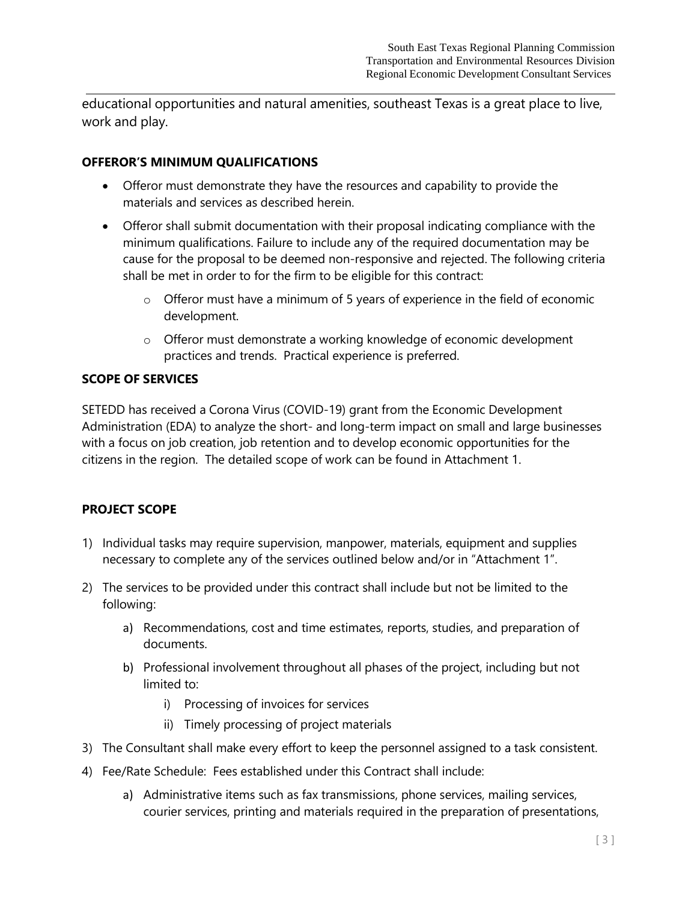educational opportunities and natural amenities, southeast Texas is a great place to live, work and play.

## **OFFEROR'S MINIMUM QUALIFICATIONS**

- Offeror must demonstrate they have the resources and capability to provide the materials and services as described herein.
- Offeror shall submit documentation with their proposal indicating compliance with the minimum qualifications. Failure to include any of the required documentation may be cause for the proposal to be deemed non-responsive and rejected. The following criteria shall be met in order to for the firm to be eligible for this contract:
	- o Offeror must have a minimum of 5 years of experience in the field of economic development.
	- o Offeror must demonstrate a working knowledge of economic development practices and trends. Practical experience is preferred.

## **SCOPE OF SERVICES**

SETEDD has received a Corona Virus (COVID-19) grant from the Economic Development Administration (EDA) to analyze the short- and long-term impact on small and large businesses with a focus on job creation, job retention and to develop economic opportunities for the citizens in the region. The detailed scope of work can be found in Attachment 1.

## **PROJECT SCOPE**

- 1) Individual tasks may require supervision, manpower, materials, equipment and supplies necessary to complete any of the services outlined below and/or in "Attachment 1".
- 2) The services to be provided under this contract shall include but not be limited to the following:
	- a) Recommendations, cost and time estimates, reports, studies, and preparation of documents.
	- b) Professional involvement throughout all phases of the project, including but not limited to:
		- i) Processing of invoices for services
		- ii) Timely processing of project materials
- 3) The Consultant shall make every effort to keep the personnel assigned to a task consistent.
- 4) Fee/Rate Schedule: Fees established under this Contract shall include:
	- a) Administrative items such as fax transmissions, phone services, mailing services, courier services, printing and materials required in the preparation of presentations,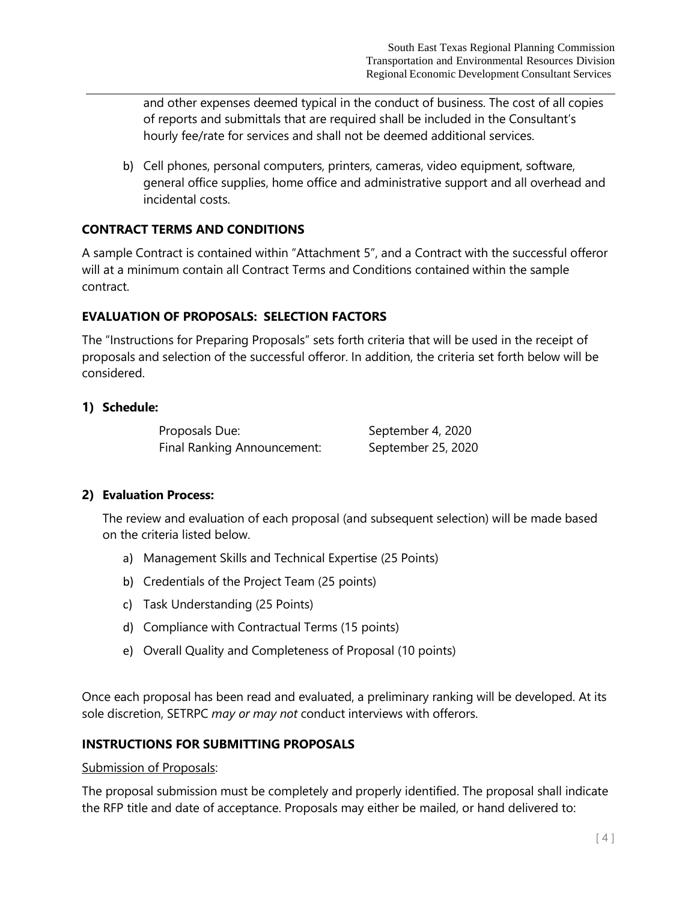and other expenses deemed typical in the conduct of business. The cost of all copies of reports and submittals that are required shall be included in the Consultant's hourly fee/rate for services and shall not be deemed additional services.

b) Cell phones, personal computers, printers, cameras, video equipment, software, general office supplies, home office and administrative support and all overhead and incidental costs.

## **CONTRACT TERMS AND CONDITIONS**

A sample Contract is contained within "Attachment 5", and a Contract with the successful offeror will at a minimum contain all Contract Terms and Conditions contained within the sample contract.

## **EVALUATION OF PROPOSALS: SELECTION FACTORS**

The "Instructions for Preparing Proposals" sets forth criteria that will be used in the receipt of proposals and selection of the successful offeror. In addition, the criteria set forth below will be considered.

## **1) Schedule:**

Proposals Due: September 4, 2020 Final Ranking Announcement: September 25, 2020

## **2) Evaluation Process:**

The review and evaluation of each proposal (and subsequent selection) will be made based on the criteria listed below.

- a) Management Skills and Technical Expertise (25 Points)
- b) Credentials of the Project Team (25 points)
- c) Task Understanding (25 Points)
- d) Compliance with Contractual Terms (15 points)
- e) Overall Quality and Completeness of Proposal (10 points)

Once each proposal has been read and evaluated, a preliminary ranking will be developed. At its sole discretion, SETRPC *may or may not* conduct interviews with offerors.

## **INSTRUCTIONS FOR SUBMITTING PROPOSALS**

### Submission of Proposals:

The proposal submission must be completely and properly identified. The proposal shall indicate the RFP title and date of acceptance. Proposals may either be mailed, or hand delivered to: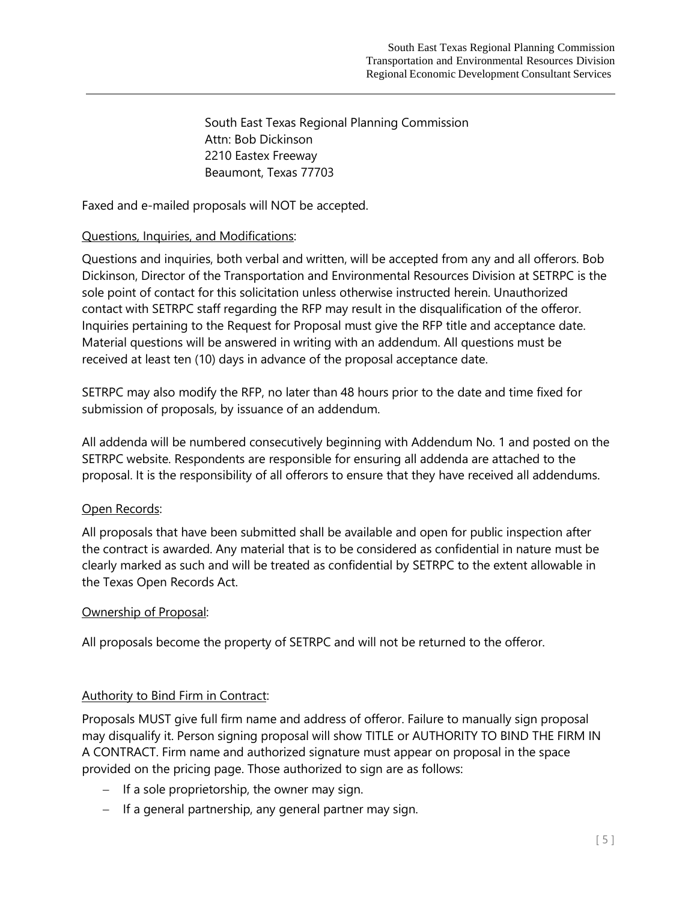South East Texas Regional Planning Commission Attn: Bob Dickinson 2210 Eastex Freeway Beaumont, Texas 77703

Faxed and e-mailed proposals will NOT be accepted.

### Questions, Inquiries, and Modifications:

Questions and inquiries, both verbal and written, will be accepted from any and all offerors. Bob Dickinson, Director of the Transportation and Environmental Resources Division at SETRPC is the sole point of contact for this solicitation unless otherwise instructed herein. Unauthorized contact with SETRPC staff regarding the RFP may result in the disqualification of the offeror. Inquiries pertaining to the Request for Proposal must give the RFP title and acceptance date. Material questions will be answered in writing with an addendum. All questions must be received at least ten (10) days in advance of the proposal acceptance date.

SETRPC may also modify the RFP, no later than 48 hours prior to the date and time fixed for submission of proposals, by issuance of an addendum.

All addenda will be numbered consecutively beginning with Addendum No. 1 and posted on the SETRPC website. Respondents are responsible for ensuring all addenda are attached to the proposal. It is the responsibility of all offerors to ensure that they have received all addendums.

### Open Records:

All proposals that have been submitted shall be available and open for public inspection after the contract is awarded. Any material that is to be considered as confidential in nature must be clearly marked as such and will be treated as confidential by SETRPC to the extent allowable in the Texas Open Records Act.

### Ownership of Proposal:

All proposals become the property of SETRPC and will not be returned to the offeror.

## Authority to Bind Firm in Contract:

Proposals MUST give full firm name and address of offeror. Failure to manually sign proposal may disqualify it. Person signing proposal will show TITLE or AUTHORITY TO BIND THE FIRM IN A CONTRACT. Firm name and authorized signature must appear on proposal in the space provided on the pricing page. Those authorized to sign are as follows:

- − If a sole proprietorship, the owner may sign.
- − If a general partnership, any general partner may sign.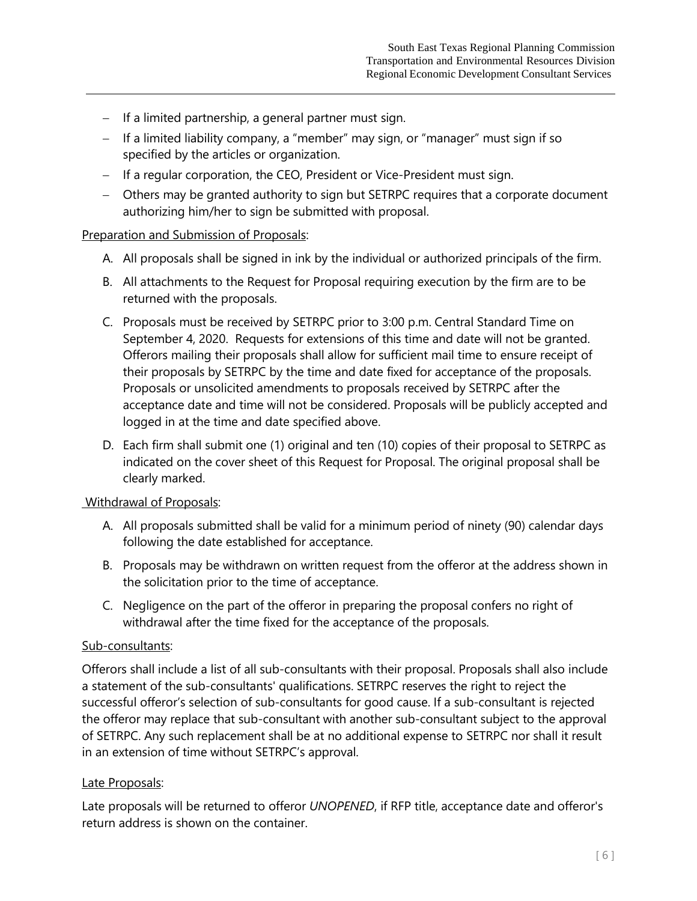- − If a limited partnership, a general partner must sign.
- − If a limited liability company, a "member" may sign, or "manager" must sign if so specified by the articles or organization.
- − If a regular corporation, the CEO, President or Vice-President must sign.
- − Others may be granted authority to sign but SETRPC requires that a corporate document authorizing him/her to sign be submitted with proposal.

#### Preparation and Submission of Proposals:

- A. All proposals shall be signed in ink by the individual or authorized principals of the firm.
- B. All attachments to the Request for Proposal requiring execution by the firm are to be returned with the proposals.
- C. Proposals must be received by SETRPC prior to 3:00 p.m. Central Standard Time on September 4, 2020. Requests for extensions of this time and date will not be granted. Offerors mailing their proposals shall allow for sufficient mail time to ensure receipt of their proposals by SETRPC by the time and date fixed for acceptance of the proposals. Proposals or unsolicited amendments to proposals received by SETRPC after the acceptance date and time will not be considered. Proposals will be publicly accepted and logged in at the time and date specified above.
- D. Each firm shall submit one (1) original and ten (10) copies of their proposal to SETRPC as indicated on the cover sheet of this Request for Proposal. The original proposal shall be clearly marked.

### Withdrawal of Proposals:

- A. All proposals submitted shall be valid for a minimum period of ninety (90) calendar days following the date established for acceptance.
- B. Proposals may be withdrawn on written request from the offeror at the address shown in the solicitation prior to the time of acceptance.
- C. Negligence on the part of the offeror in preparing the proposal confers no right of withdrawal after the time fixed for the acceptance of the proposals.

#### Sub-consultants:

Offerors shall include a list of all sub-consultants with their proposal. Proposals shall also include a statement of the sub-consultants' qualifications. SETRPC reserves the right to reject the successful offeror's selection of sub-consultants for good cause. If a sub-consultant is rejected the offeror may replace that sub-consultant with another sub-consultant subject to the approval of SETRPC. Any such replacement shall be at no additional expense to SETRPC nor shall it result in an extension of time without SETRPC's approval.

### Late Proposals:

Late proposals will be returned to offeror *UNOPENED*, if RFP title, acceptance date and offeror's return address is shown on the container.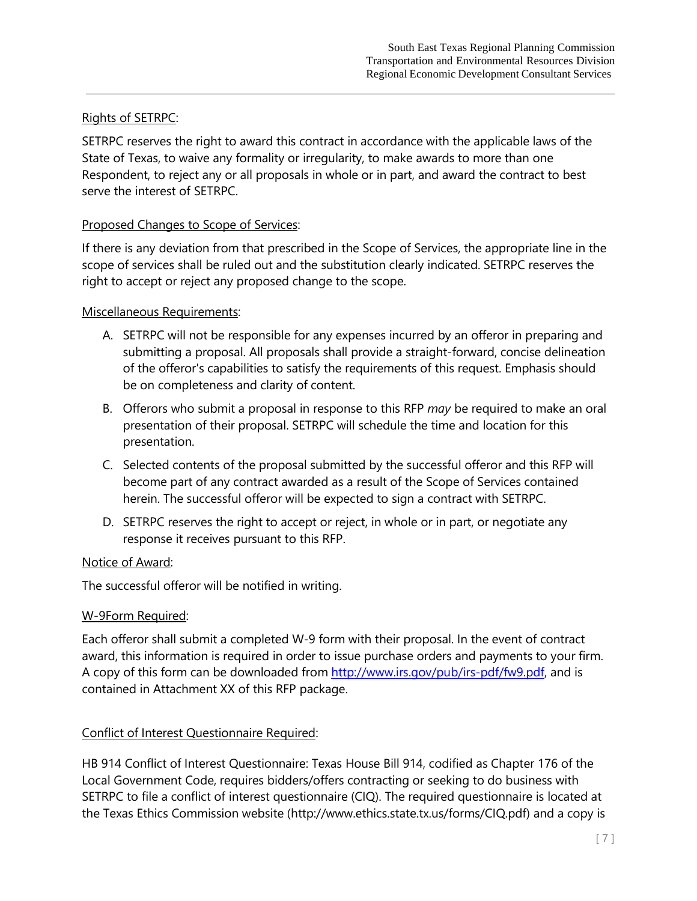## Rights of SETRPC:

SETRPC reserves the right to award this contract in accordance with the applicable laws of the State of Texas, to waive any formality or irregularity, to make awards to more than one Respondent, to reject any or all proposals in whole or in part, and award the contract to best serve the interest of SETRPC.

## Proposed Changes to Scope of Services:

If there is any deviation from that prescribed in the Scope of Services, the appropriate line in the scope of services shall be ruled out and the substitution clearly indicated. SETRPC reserves the right to accept or reject any proposed change to the scope.

## Miscellaneous Requirements:

- A. SETRPC will not be responsible for any expenses incurred by an offeror in preparing and submitting a proposal. All proposals shall provide a straight-forward, concise delineation of the offeror's capabilities to satisfy the requirements of this request. Emphasis should be on completeness and clarity of content.
- B. Offerors who submit a proposal in response to this RFP *may* be required to make an oral presentation of their proposal. SETRPC will schedule the time and location for this presentation.
- C. Selected contents of the proposal submitted by the successful offeror and this RFP will become part of any contract awarded as a result of the Scope of Services contained herein. The successful offeror will be expected to sign a contract with SETRPC.
- D. SETRPC reserves the right to accept or reject, in whole or in part, or negotiate any response it receives pursuant to this RFP.

## Notice of Award:

The successful offeror will be notified in writing.

## W-9Form Required:

Each offeror shall submit a completed W-9 form with their proposal. In the event of contract award, this information is required in order to issue purchase orders and payments to your firm. A copy of this form can be downloaded from [http://www.irs.gov/pub/irs-pdf/fw9.pdf,](http://www.irs.gov/pub/irs-pdf/fw9.pdf) and is contained in Attachment XX of this RFP package.

## Conflict of Interest Questionnaire Required:

HB 914 Conflict of Interest Questionnaire: Texas House Bill 914, codified as Chapter 176 of the Local Government Code, requires bidders/offers contracting or seeking to do business with SETRPC to file a conflict of interest questionnaire (CIQ). The required questionnaire is located at the Texas Ethics Commission website [\(http://www.ethics.state.tx.us/forms/CIQ.pdf\)](http://www.ethics.state.tx.us/forms/CIQ.pdf)) and a copy is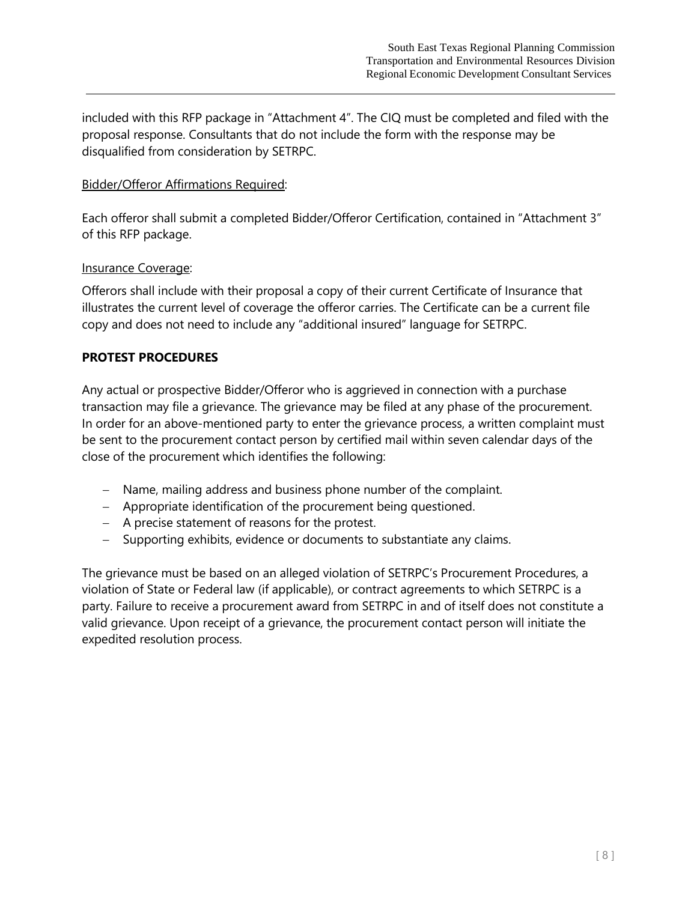included with this RFP package in "Attachment 4". The CIQ must be completed and filed with the proposal response. Consultants that do not include the form with the response may be disqualified from consideration by SETRPC.

## Bidder/Offeror Affirmations Required:

Each offeror shall submit a completed Bidder/Offeror Certification, contained in "Attachment 3" of this RFP package.

### Insurance Coverage:

Offerors shall include with their proposal a copy of their current Certificate of Insurance that illustrates the current level of coverage the offeror carries. The Certificate can be a current file copy and does not need to include any "additional insured" language for SETRPC.

## **PROTEST PROCEDURES**

Any actual or prospective Bidder/Offeror who is aggrieved in connection with a purchase transaction may file a grievance. The grievance may be filed at any phase of the procurement. In order for an above-mentioned party to enter the grievance process, a written complaint must be sent to the procurement contact person by certified mail within seven calendar days of the close of the procurement which identifies the following:

- − Name, mailing address and business phone number of the complaint.
- − Appropriate identification of the procurement being questioned.
- − A precise statement of reasons for the protest.
- − Supporting exhibits, evidence or documents to substantiate any claims.

The grievance must be based on an alleged violation of SETRPC's Procurement Procedures, a violation of State or Federal law (if applicable), or contract agreements to which SETRPC is a party. Failure to receive a procurement award from SETRPC in and of itself does not constitute a valid grievance. Upon receipt of a grievance, the procurement contact person will initiate the expedited resolution process.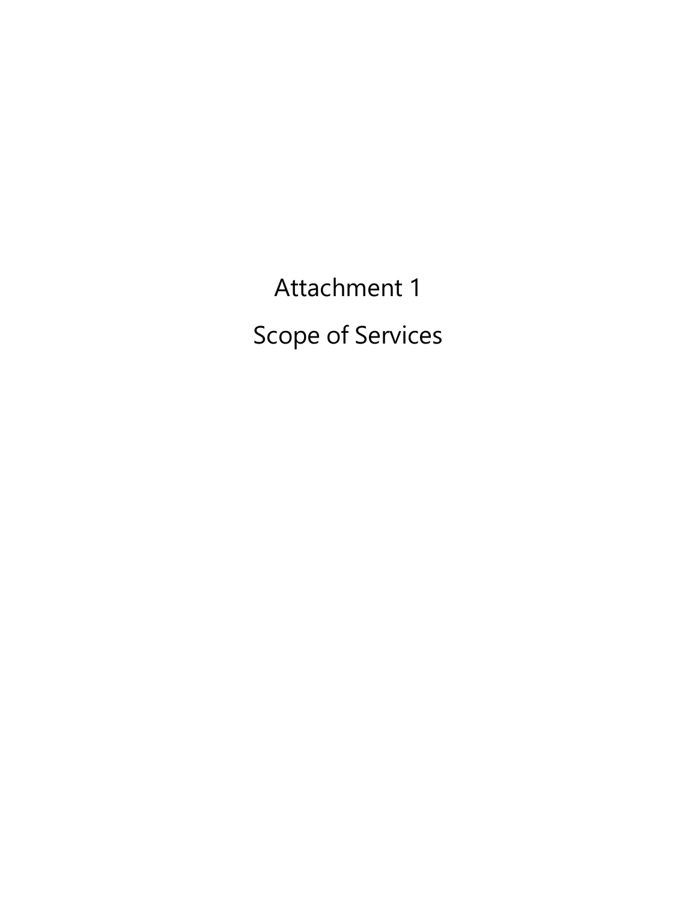Attachment 1 Scope of Services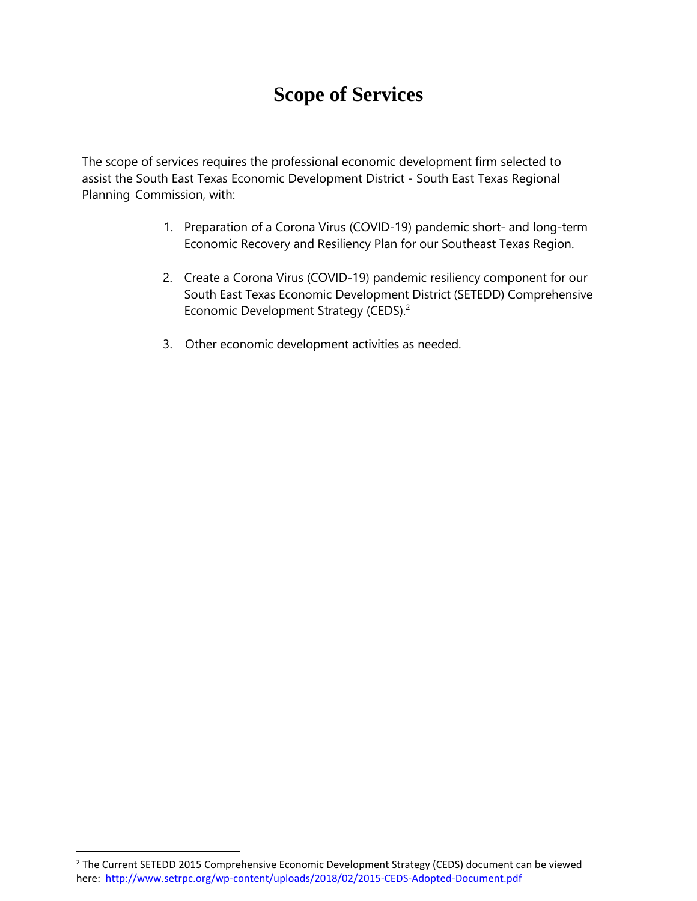# **Scope of Services**

The scope of services requires the professional economic development firm selected to assist the South East Texas Economic Development District - South East Texas Regional Planning Commission, with:

- 1. Preparation of a Corona Virus (COVID-19) pandemic short- and long-term Economic Recovery and Resiliency Plan for our Southeast Texas Region.
- 2. Create a Corona Virus (COVID-19) pandemic resiliency component for our South East Texas Economic Development District (SETEDD) Comprehensive Economic Development Strategy (CEDS).<sup>2</sup>
- 3. Other economic development activities as needed.

<sup>&</sup>lt;sup>2</sup> The Current SETEDD 2015 Comprehensive Economic Development Strategy (CEDS) document can be viewed here: <http://www.setrpc.org/wp-content/uploads/2018/02/2015-CEDS-Adopted-Document.pdf>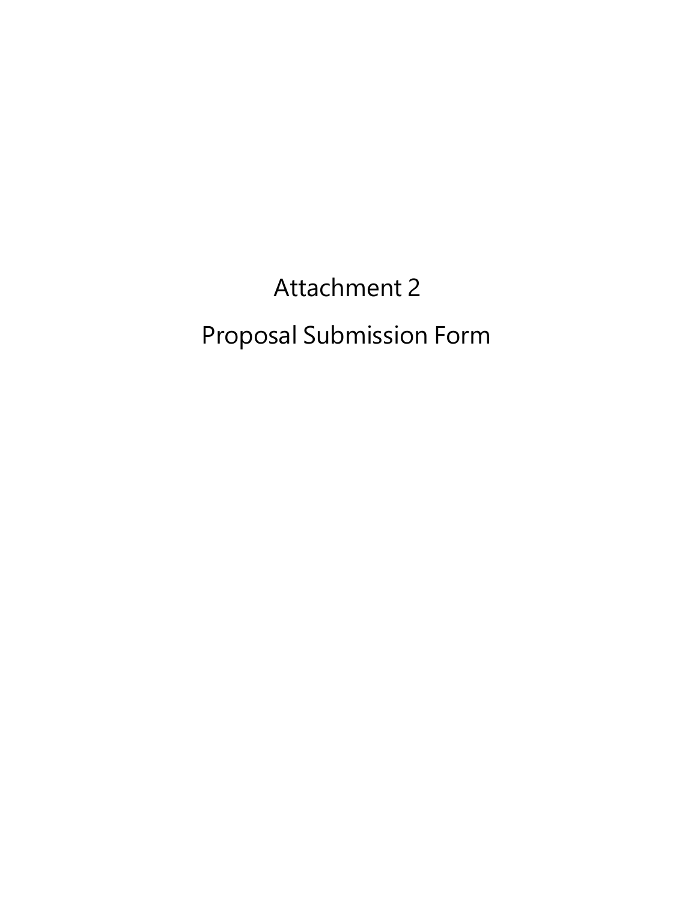Attachment 2 Proposal Submission Form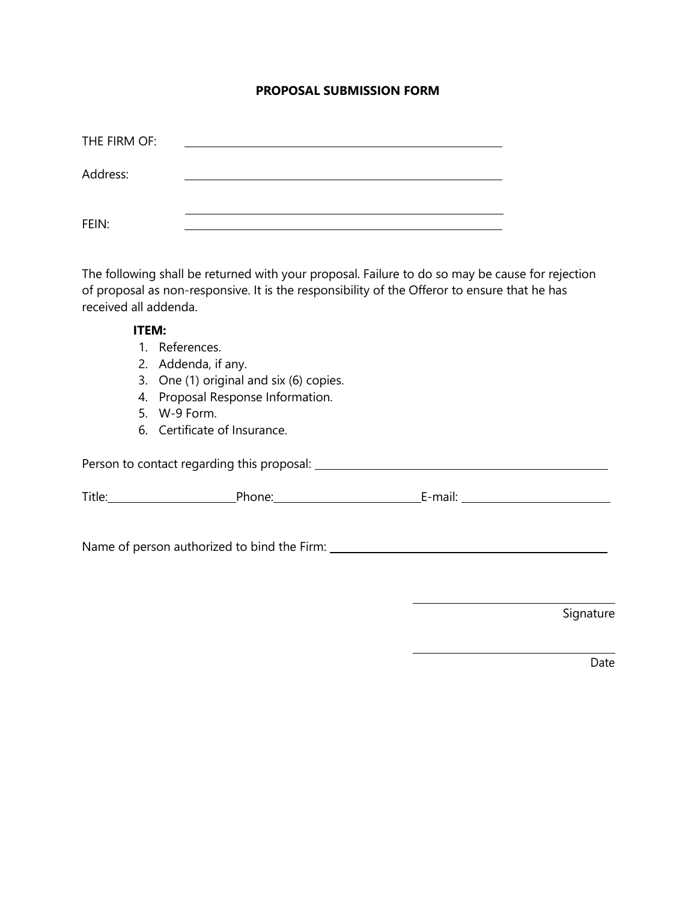## **PROPOSAL SUBMISSION FORM**

| THE FIRM OF: |  |
|--------------|--|
| Address:     |  |
|              |  |
| FEIN:        |  |

The following shall be returned with your proposal. Failure to do so may be cause for rejection of proposal as non-responsive. It is the responsibility of the Offeror to ensure that he has received all addenda.

### **ITEM:**

- 1. References.
- 2. Addenda, if any.
- 3. One (1) original and six (6) copies.
- 4. Proposal Response Information.
- 5. W-9 Form.
- 6. Certificate of Insurance.

Person to contact regarding this proposal:

Title: Phone: E-mail:

Name of person authorized to bind the Firm:

Signature

Date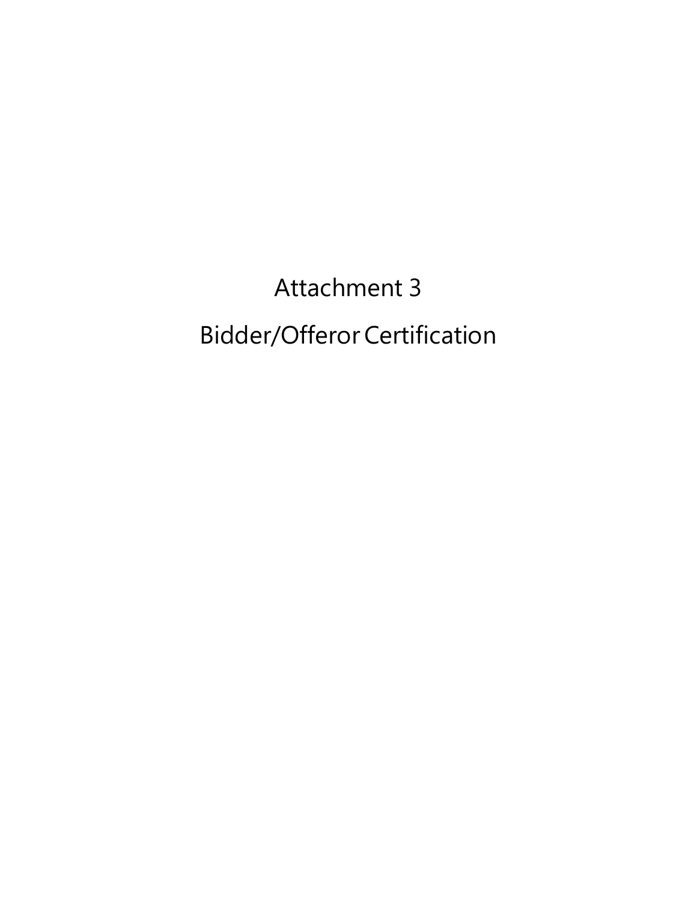Attachment 3 Bidder/Offeror Certification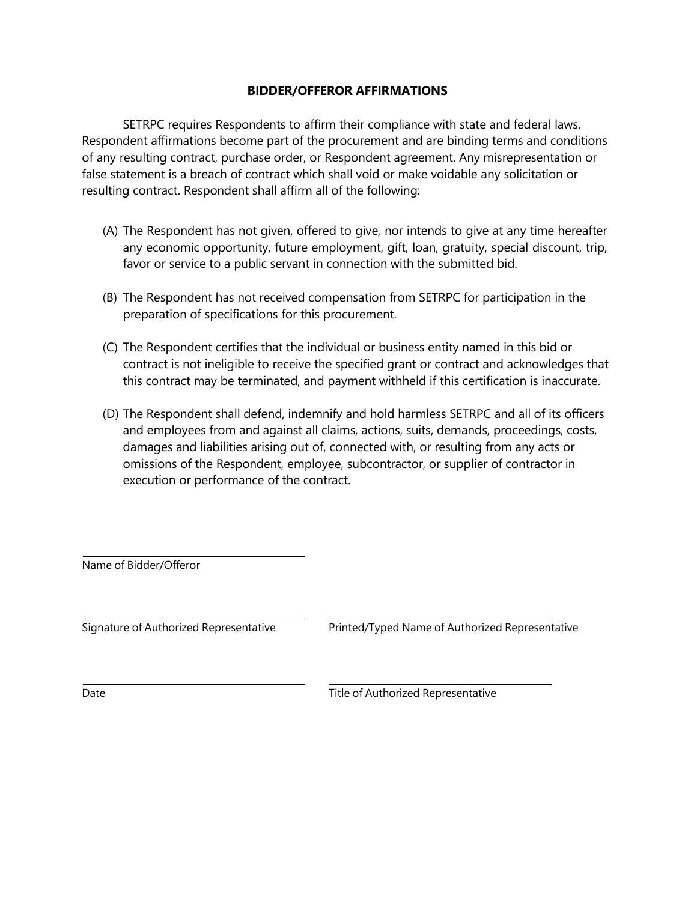## **BIDDER/OFFEROR AFFIRMATIONS**

SETRPC requires Respondents to affirm their compliance with state and federal laws. Respondent affirmations become part of the procurement and are binding terms and conditions of any resulting contract, purchase order, or Respondent agreement. Any misrepresentation or false statement is a breach of contract which shall void or make voidable any solicitation or resulting contract. Respondent shall affirm all of the following:

- (A) The Respondent has not given, offered to give, nor intends to give at any time hereafter any economic opportunity, future employment, gift, loan, gratuity, special discount, trip, favor or service to a public servant in connection with the submitted bid.
- (B) The Respondent has not received compensation from SETRPC for participation in the preparation of specifications for this procurement.
- (C) The Respondent certifies that the individual or business entity named in this bid or contract is not ineligible to receive the specified grant or contract and acknowledges that this contract may be terminated, and payment withheld if this certification is inaccurate.
- (D) The Respondent shall defend, indemnify and hold harmless SETRPC and all of its officers and employees from and against all claims, actions, suits, demands, proceedings, costs, damages and liabilities arising out of, connected with, or resulting from any acts or omissions of the Respondent, employee, subcontractor, or supplier of contractor in execution or performance of the contract.

Name of Bidder/Offeror

Signature of Authorized Representative Printed/Typed Name of Authorized Representative

Date **Title of Authorized Representative** Title of Authorized Representative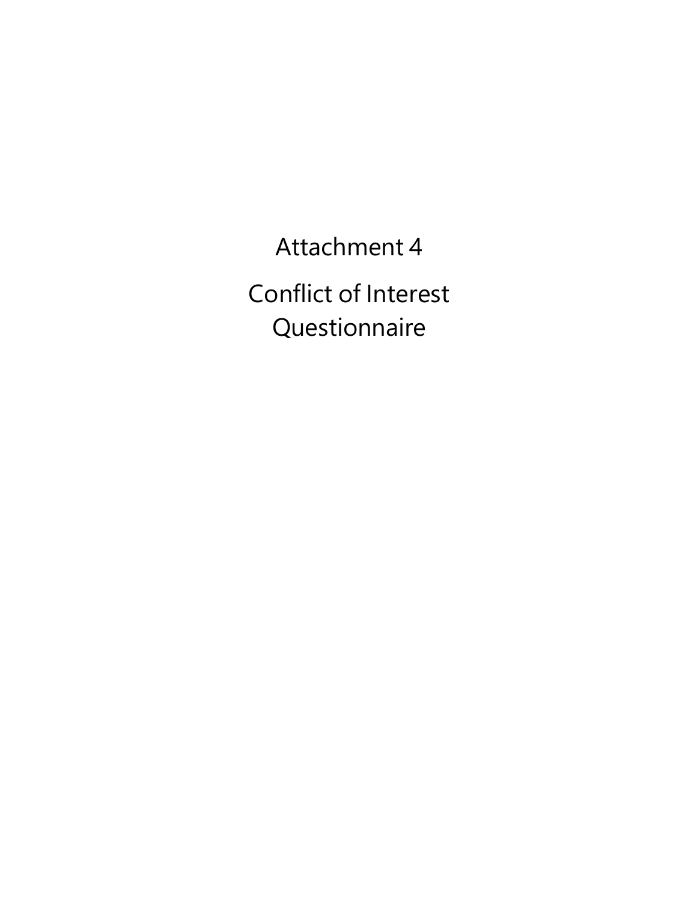Attachment 4 Conflict of Interest Questionnaire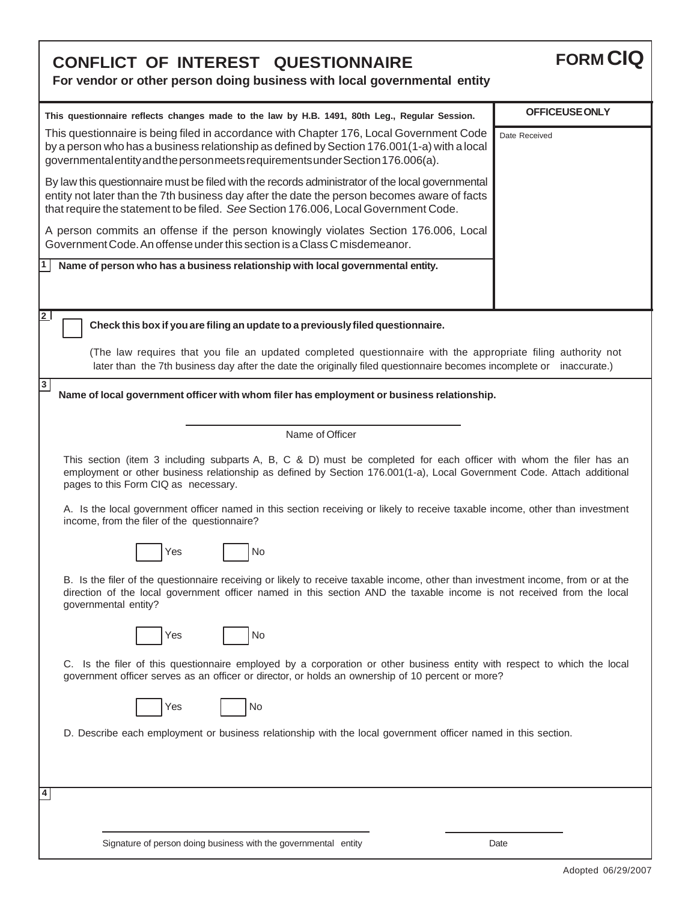| <b>CONFLICT OF INTEREST QUESTIONNAIRE</b><br>For vendor or other person doing business with local governmental entity                                                                                                                                                                  | <b>FORM CIQ</b> |  |  |
|----------------------------------------------------------------------------------------------------------------------------------------------------------------------------------------------------------------------------------------------------------------------------------------|-----------------|--|--|
| This questionnaire reflects changes made to the law by H.B. 1491, 80th Leg., Regular Session.                                                                                                                                                                                          | OFFICEUSE ONLY  |  |  |
| This questionnaire is being filed in accordance with Chapter 176, Local Government Code<br>by a person who has a business relationship as defined by Section 176.001(1-a) with a local<br>governmental entity and the person meets requirements under Section 176.006(a).              | Date Received   |  |  |
| By law this questionnaire must be filed with the records administrator of the local governmental<br>entity not later than the 7th business day after the date the person becomes aware of facts<br>that require the statement to be filed. See Section 176.006, Local Government Code. |                 |  |  |
| A person commits an offense if the person knowingly violates Section 176.006, Local<br>Government Code. An offense under this section is a Class C misdemeanor.                                                                                                                        |                 |  |  |
| Name of person who has a business relationship with local governmental entity.                                                                                                                                                                                                         |                 |  |  |
| $\overline{2}$<br>Check this box if you are filing an update to a previously filed questionnaire.                                                                                                                                                                                      |                 |  |  |
| (The law requires that you file an updated completed questionnaire with the appropriate filing authority not<br>later than the 7th business day after the date the originally filed questionnaire becomes incomplete or inaccurate.)                                                   |                 |  |  |
| $\overline{3}$<br>Name of local government officer with whom filer has employment or business relationship.                                                                                                                                                                            |                 |  |  |
| Name of Officer                                                                                                                                                                                                                                                                        |                 |  |  |
| This section (item 3 including subparts A, B, C & D) must be completed for each officer with whom the filer has an<br>employment or other business relationship as defined by Section 176.001(1-a), Local Government Code. Attach additional<br>pages to this Form CIQ as necessary.   |                 |  |  |
| A. Is the local government officer named in this section receiving or likely to receive taxable income, other than investment<br>income, from the filer of the questionnaire?                                                                                                          |                 |  |  |
| $7$ Yes<br>No                                                                                                                                                                                                                                                                          |                 |  |  |
| B. Is the filer of the questionnaire receiving or likely to receive taxable income, other than investment income, from or at the<br>direction of the local government officer named in this section AND the taxable income is not received from the local<br>governmental entity?      |                 |  |  |
| No<br>Yes                                                                                                                                                                                                                                                                              |                 |  |  |
| C. Is the filer of this questionnaire employed by a corporation or other business entity with respect to which the local<br>government officer serves as an officer or director, or holds an ownership of 10 percent or more?                                                          |                 |  |  |
| Yes<br>No                                                                                                                                                                                                                                                                              |                 |  |  |
| D. Describe each employment or business relationship with the local government officer named in this section.                                                                                                                                                                          |                 |  |  |
| 4                                                                                                                                                                                                                                                                                      |                 |  |  |
|                                                                                                                                                                                                                                                                                        |                 |  |  |
| Signature of person doing business with the governmental entity<br>Date                                                                                                                                                                                                                |                 |  |  |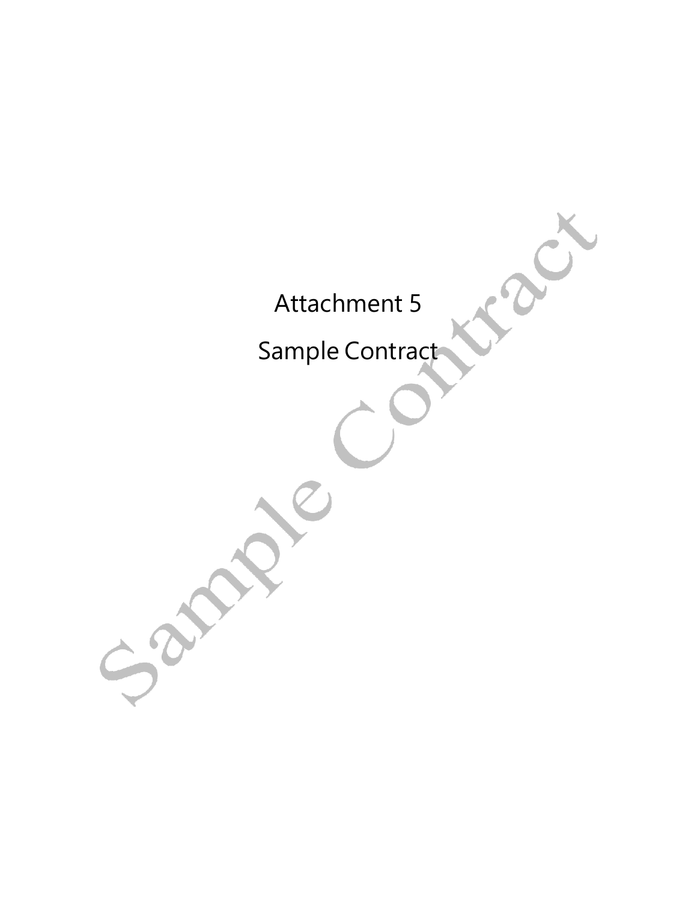Attachment 5

ED

Sample Contract

RIVER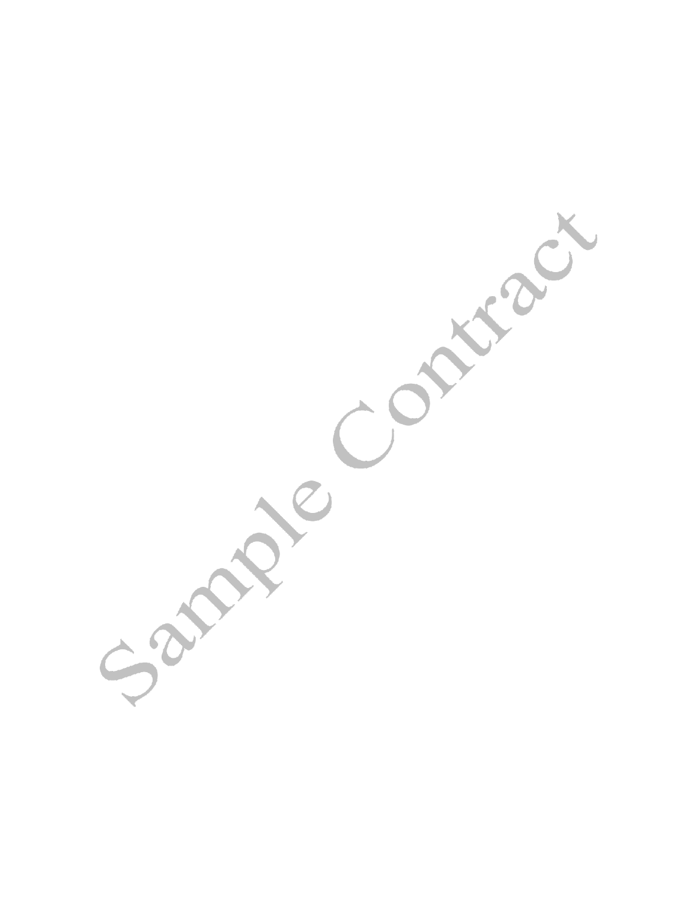Sample Contract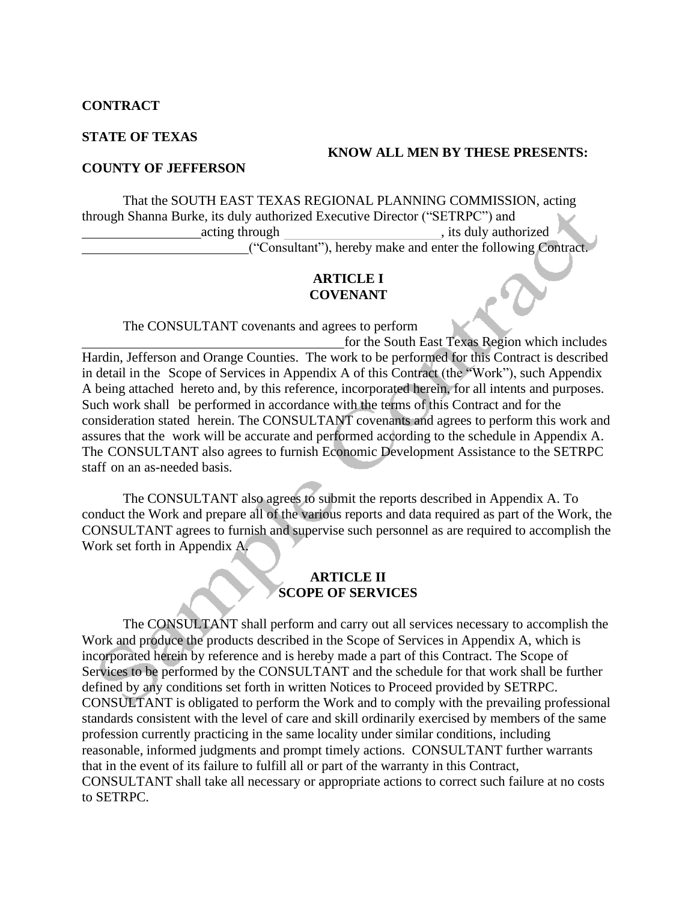#### **CONTRACT**

#### **STATE OF TEXAS**

#### **KNOW ALL MEN BY THESE PRESENTS:**

## **COUNTY OF JEFFERSON**

That the SOUTH EAST TEXAS REGIONAL PLANNING COMMISSION, acting through Shanna Burke, its duly authorized Executive Director ("SETRPC") and acting through , its duly authorized ("Consultant"), hereby make and enter the following Contract.

## **ARTICLE I COVENANT**

The CONSULTANT covenants and agrees to perform

for the South East Texas Region which includes Hardin, Jefferson and Orange Counties. The work to be performed for this Contract is described in detail in the Scope of Services in Appendix A of this Contract (the "Work"), such Appendix A being attached hereto and, by this reference, incorporated herein, for all intents and purposes. Such work shall be performed in accordance with the terms of this Contract and for the consideration stated herein. The CONSULTANT covenants and agrees to perform this work and assures that the work will be accurate and performed according to the schedule in Appendix A. The CONSULTANT also agrees to furnish Economic Development Assistance to the SETRPC staff on an as-needed basis.

The CONSULTANT also agrees to submit the reports described in Appendix A. To conduct the Work and prepare all of the various reports and data required as part of the Work, the CONSULTANT agrees to furnish and supervise such personnel as are required to accomplish the Work set forth in Appendix A.

#### **ARTICLE II SCOPE OF SERVICES**

The CONSULTANT shall perform and carry out all services necessary to accomplish the Work and produce the products described in the Scope of Services in Appendix A, which is incorporated herein by reference and is hereby made a part of this Contract. The Scope of Services to be performed by the CONSULTANT and the schedule for that work shall be further defined by any conditions set forth in written Notices to Proceed provided by SETRPC. CONSULTANT is obligated to perform the Work and to comply with the prevailing professional standards consistent with the level of care and skill ordinarily exercised by members of the same profession currently practicing in the same locality under similar conditions, including reasonable, informed judgments and prompt timely actions. CONSULTANT further warrants that in the event of its failure to fulfill all or part of the warranty in this Contract, CONSULTANT shall take all necessary or appropriate actions to correct such failure at no costs to SETRPC.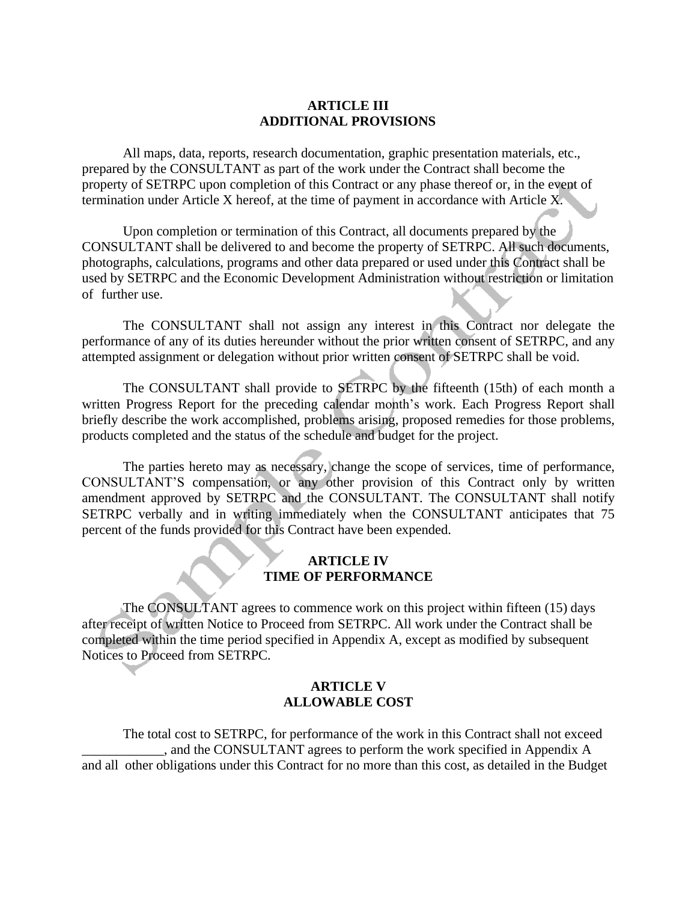## **ARTICLE III ADDITIONAL PROVISIONS**

All maps, data, reports, research documentation, graphic presentation materials, etc., prepared by the CONSULTANT as part of the work under the Contract shall become the property of SETRPC upon completion of this Contract or any phase thereof or, in the event of termination under Article X hereof, at the time of payment in accordance with Article X.

Upon completion or termination of this Contract, all documents prepared by the CONSULTANT shall be delivered to and become the property of SETRPC. All such documents, photographs, calculations, programs and other data prepared or used under this Contract shall be used by SETRPC and the Economic Development Administration without restriction or limitation of further use.

The CONSULTANT shall not assign any interest in this Contract nor delegate the performance of any of its duties hereunder without the prior written consent of SETRPC, and any attempted assignment or delegation without prior written consent of SETRPC shall be void.

The CONSULTANT shall provide to SETRPC by the fifteenth (15th) of each month a written Progress Report for the preceding calendar month's work. Each Progress Report shall briefly describe the work accomplished, problems arising, proposed remedies for those problems, products completed and the status of the schedule and budget for the project.

The parties hereto may as necessary, change the scope of services, time of performance, CONSULTANT'S compensation, or any other provision of this Contract only by written amendment approved by SETRPC and the CONSULTANT. The CONSULTANT shall notify SETRPC verbally and in writing immediately when the CONSULTANT anticipates that 75 percent of the funds provided for this Contract have been expended.

### **ARTICLE IV TIME OF PERFORMANCE**

The CONSULTANT agrees to commence work on this project within fifteen (15) days after receipt of written Notice to Proceed from SETRPC. All work under the Contract shall be completed within the time period specified in Appendix A, except as modified by subsequent Notices to Proceed from SETRPC.

### **ARTICLE V ALLOWABLE COST**

The total cost to SETRPC, for performance of the work in this Contract shall not exceed and the CONSULTANT agrees to perform the work specified in Appendix A and all other obligations under this Contract for no more than this cost, as detailed in the Budget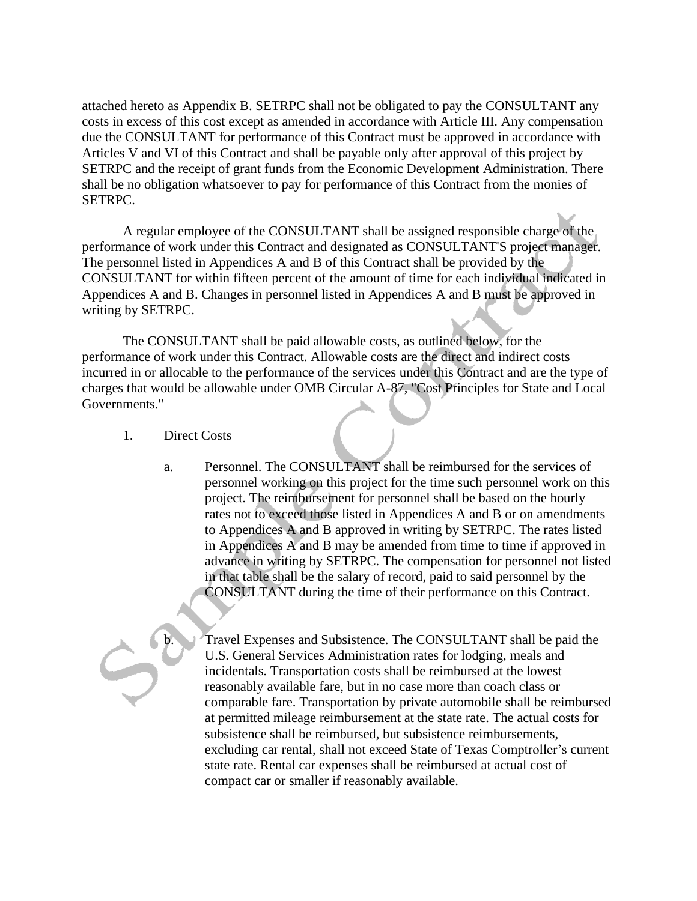attached hereto as Appendix B. SETRPC shall not be obligated to pay the CONSULTANT any costs in excess of this cost except as amended in accordance with Article III. Any compensation due the CONSULTANT for performance of this Contract must be approved in accordance with Articles V and VI of this Contract and shall be payable only after approval of this project by SETRPC and the receipt of grant funds from the Economic Development Administration. There shall be no obligation whatsoever to pay for performance of this Contract from the monies of SETRPC.

A regular employee of the CONSULTANT shall be assigned responsible charge of the performance of work under this Contract and designated as CONSULTANT'S project manager. The personnel listed in Appendices A and B of this Contract shall be provided by the CONSULTANT for within fifteen percent of the amount of time for each individual indicated in Appendices A and B. Changes in personnel listed in Appendices A and B must be approved in writing by SETRPC.

The CONSULTANT shall be paid allowable costs, as outlined below, for the performance of work under this Contract. Allowable costs are the direct and indirect costs incurred in or allocable to the performance of the services under this Contract and are the type of charges that would be allowable under OMB Circular A-87, "Cost Principles for State and Local Governments."

- 1. Direct Costs
	- a. Personnel. The CONSULTANT shall be reimbursed for the services of personnel working on this project for the time such personnel work on this project. The reimbursement for personnel shall be based on the hourly rates not to exceed those listed in Appendices A and B or on amendments to Appendices A and B approved in writing by SETRPC. The rates listed in Appendices A and B may be amended from time to time if approved in advance in writing by SETRPC. The compensation for personnel not listed in that table shall be the salary of record, paid to said personnel by the CONSULTANT during the time of their performance on this Contract.

Travel Expenses and Subsistence. The CONSULTANT shall be paid the U.S. General Services Administration rates for lodging, meals and incidentals. Transportation costs shall be reimbursed at the lowest reasonably available fare, but in no case more than coach class or comparable fare. Transportation by private automobile shall be reimbursed at permitted mileage reimbursement at the state rate. The actual costs for subsistence shall be reimbursed, but subsistence reimbursements, excluding car rental, shall not exceed State of Texas Comptroller's current state rate. Rental car expenses shall be reimbursed at actual cost of compact car or smaller if reasonably available.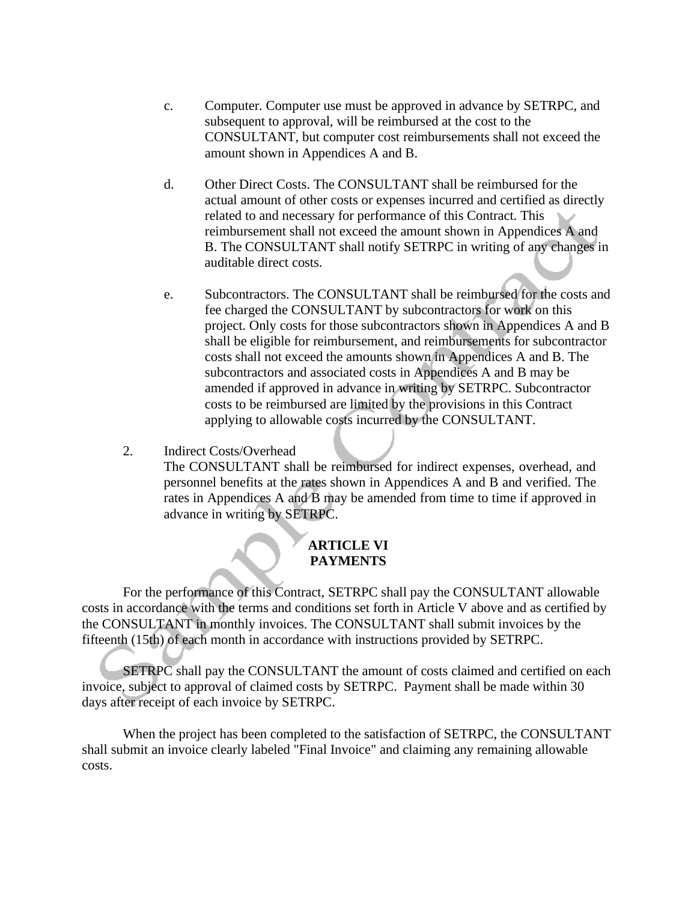- c. Computer. Computer use must be approved in advance by SETRPC, and subsequent to approval, will be reimbursed at the cost to the CONSULTANT, but computer cost reimbursements shall not exceed the amount shown in Appendices A and B.
- d. Other Direct Costs. The CONSULTANT shall be reimbursed for the actual amount of other costs or expenses incurred and certified as directly related to and necessary for performance of this Contract. This reimbursement shall not exceed the amount shown in Appendices A and B. The CONSULTANT shall notify SETRPC in writing of any changes in auditable direct costs.
- e. Subcontractors. The CONSULTANT shall be reimbursed for the costs and fee charged the CONSULTANT by subcontractors for work on this project. Only costs for those subcontractors shown in Appendices A and B shall be eligible for reimbursement, and reimbursements for subcontractor costs shall not exceed the amounts shown in Appendices A and B. The subcontractors and associated costs in Appendices A and B may be amended if approved in advance in writing by SETRPC. Subcontractor costs to be reimbursed are limited by the provisions in this Contract applying to allowable costs incurred by the CONSULTANT.
- 2. Indirect Costs/Overhead The CONSULTANT shall be reimbursed for indirect expenses, overhead, and personnel benefits at the rates shown in Appendices A and B and verified. The rates in Appendices A and B may be amended from time to time if approved in advance in writing by SETRPC.

## **ARTICLE VI PAYMENTS**

For the performance of this Contract, SETRPC shall pay the CONSULTANT allowable costs in accordance with the terms and conditions set forth in Article V above and as certified by the CONSULTANT in monthly invoices. The CONSULTANT shall submit invoices by the fifteenth (15th) of each month in accordance with instructions provided by SETRPC.

SETRPC shall pay the CONSULTANT the amount of costs claimed and certified on each invoice, subject to approval of claimed costs by SETRPC. Payment shall be made within 30 days after receipt of each invoice by SETRPC.

When the project has been completed to the satisfaction of SETRPC, the CONSULTANT shall submit an invoice clearly labeled "Final Invoice" and claiming any remaining allowable costs.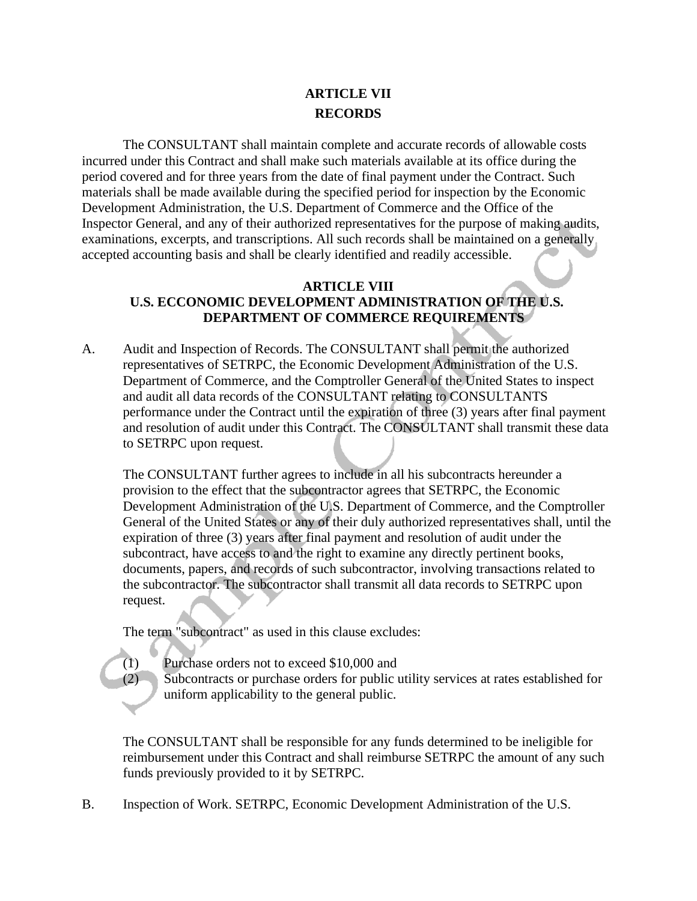## **ARTICLE VII RECORDS**

The CONSULTANT shall maintain complete and accurate records of allowable costs incurred under this Contract and shall make such materials available at its office during the period covered and for three years from the date of final payment under the Contract. Such materials shall be made available during the specified period for inspection by the Economic Development Administration, the U.S. Department of Commerce and the Office of the Inspector General, and any of their authorized representatives for the purpose of making audits, examinations, excerpts, and transcriptions. All such records shall be maintained on a generally accepted accounting basis and shall be clearly identified and readily accessible.

## **ARTICLE VIII U.S. ECCONOMIC DEVELOPMENT ADMINISTRATION OF THE U.S. DEPARTMENT OF COMMERCE REQUIREMENTS**

A. Audit and Inspection of Records. The CONSULTANT shall permit the authorized representatives of SETRPC, the Economic Development Administration of the U.S. Department of Commerce, and the Comptroller General of the United States to inspect and audit all data records of the CONSULTANT relating to CONSULTANTS performance under the Contract until the expiration of three (3) years after final payment and resolution of audit under this Contract. The CONSULTANT shall transmit these data to SETRPC upon request.

The CONSULTANT further agrees to include in all his subcontracts hereunder a provision to the effect that the subcontractor agrees that SETRPC, the Economic Development Administration of the U.S. Department of Commerce, and the Comptroller General of the United States or any of their duly authorized representatives shall, until the expiration of three (3) years after final payment and resolution of audit under the subcontract, have access to and the right to examine any directly pertinent books, documents, papers, and records of such subcontractor, involving transactions related to the subcontractor. The subcontractor shall transmit all data records to SETRPC upon request.

The term "subcontract" as used in this clause excludes:

- (1) Purchase orders not to exceed \$10,000 and
- (2) Subcontracts or purchase orders for public utility services at rates established for uniform applicability to the general public.

The CONSULTANT shall be responsible for any funds determined to be ineligible for reimbursement under this Contract and shall reimburse SETRPC the amount of any such funds previously provided to it by SETRPC.

B. Inspection of Work. SETRPC, Economic Development Administration of the U.S.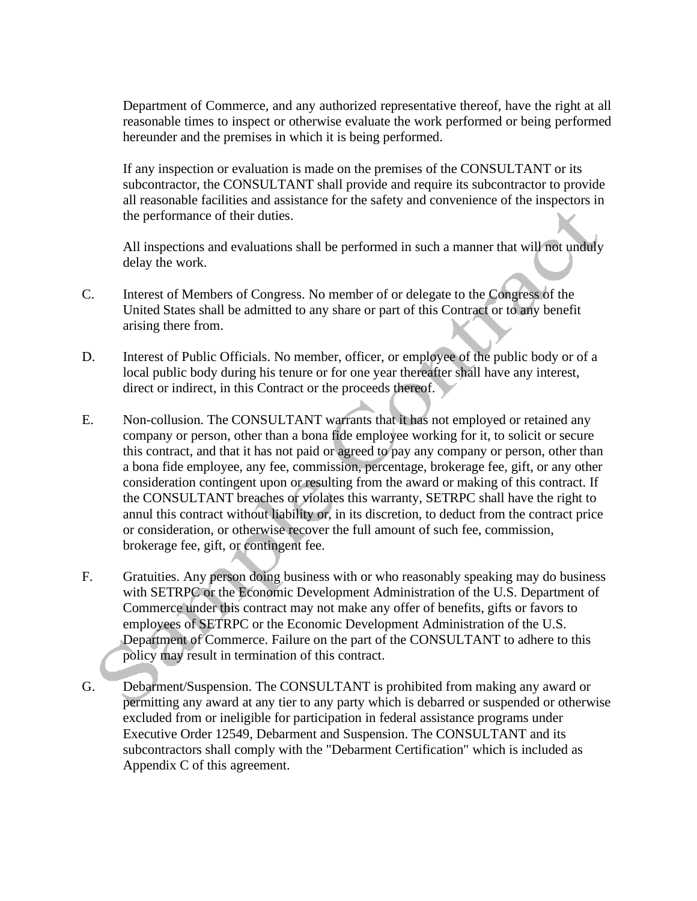Department of Commerce, and any authorized representative thereof, have the right at all reasonable times to inspect or otherwise evaluate the work performed or being performed hereunder and the premises in which it is being performed.

If any inspection or evaluation is made on the premises of the CONSULTANT or its subcontractor, the CONSULTANT shall provide and require its subcontractor to provide all reasonable facilities and assistance for the safety and convenience of the inspectors in the performance of their duties.

All inspections and evaluations shall be performed in such a manner that will not unduly delay the work.

- C. Interest of Members of Congress. No member of or delegate to the Congress of the United States shall be admitted to any share or part of this Contract or to any benefit arising there from.
- D. Interest of Public Officials. No member, officer, or employee of the public body or of a local public body during his tenure or for one year thereafter shall have any interest, direct or indirect, in this Contract or the proceeds thereof.
- E. Non-collusion. The CONSULTANT warrants that it has not employed or retained any company or person, other than a bona fide employee working for it, to solicit or secure this contract, and that it has not paid or agreed to pay any company or person, other than a bona fide employee, any fee, commission, percentage, brokerage fee, gift, or any other consideration contingent upon or resulting from the award or making of this contract. If the CONSULTANT breaches or violates this warranty, SETRPC shall have the right to annul this contract without liability or, in its discretion, to deduct from the contract price or consideration, or otherwise recover the full amount of such fee, commission, brokerage fee, gift, or contingent fee.
- F. Gratuities. Any person doing business with or who reasonably speaking may do business with SETRPC or the Economic Development Administration of the U.S. Department of Commerce under this contract may not make any offer of benefits, gifts or favors to employees of SETRPC or the Economic Development Administration of the U.S. Department of Commerce. Failure on the part of the CONSULTANT to adhere to this policy may result in termination of this contract.
- G. Debarment/Suspension. The CONSULTANT is prohibited from making any award or permitting any award at any tier to any party which is debarred or suspended or otherwise excluded from or ineligible for participation in federal assistance programs under Executive Order 12549, Debarment and Suspension. The CONSULTANT and its subcontractors shall comply with the "Debarment Certification" which is included as Appendix C of this agreement.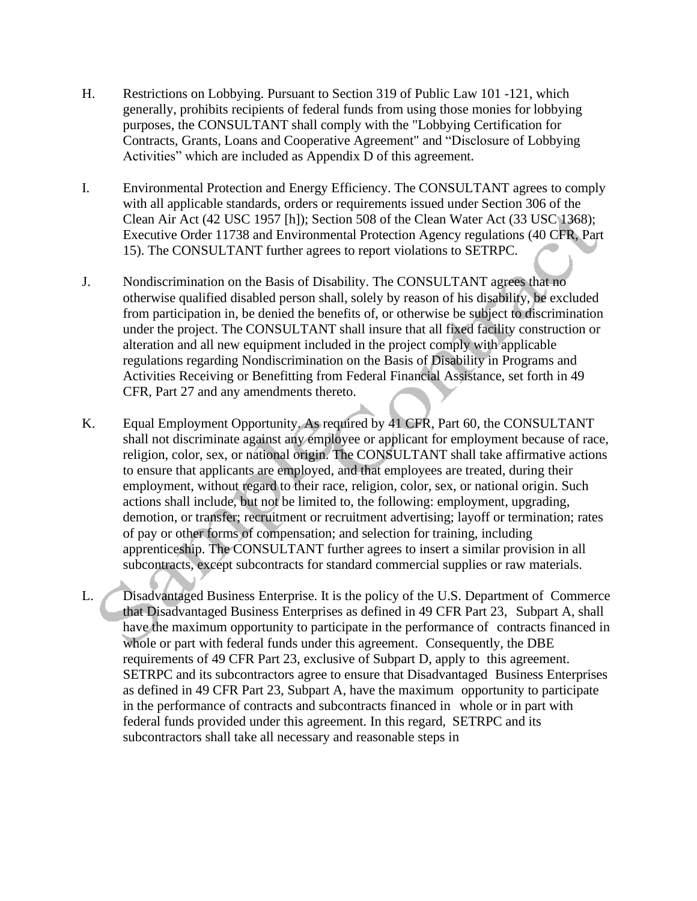- H. Restrictions on Lobbying. Pursuant to Section 319 of Public Law 101 -121, which generally, prohibits recipients of federal funds from using those monies for lobbying purposes, the CONSULTANT shall comply with the "Lobbying Certification for Contracts, Grants, Loans and Cooperative Agreement" and "Disclosure of Lobbying Activities" which are included as Appendix D of this agreement.
- I. Environmental Protection and Energy Efficiency. The CONSULTANT agrees to comply with all applicable standards, orders or requirements issued under Section 306 of the Clean Air Act (42 USC 1957 [h]); Section 508 of the Clean Water Act (33 USC 1368); Executive Order 11738 and Environmental Protection Agency regulations (40 CFR, Part 15). The CONSULTANT further agrees to report violations to SETRPC.
- J. Nondiscrimination on the Basis of Disability. The CONSULTANT agrees that no otherwise qualified disabled person shall, solely by reason of his disability, be excluded from participation in, be denied the benefits of, or otherwise be subject to discrimination under the project. The CONSULTANT shall insure that all fixed facility construction or alteration and all new equipment included in the project comply with applicable regulations regarding Nondiscrimination on the Basis of Disability in Programs and Activities Receiving or Benefitting from Federal Financial Assistance, set forth in 49 CFR, Part 27 and any amendments thereto.
- K. Equal Employment Opportunity. As required by 41 CFR, Part 60, the CONSULTANT shall not discriminate against any employee or applicant for employment because of race, religion, color, sex, or national origin. The CONSULTANT shall take affirmative actions to ensure that applicants are employed, and that employees are treated, during their employment, without regard to their race, religion, color, sex, or national origin. Such actions shall include, but not be limited to, the following: employment, upgrading, demotion, or transfer; recruitment or recruitment advertising; layoff or termination; rates of pay or other forms of compensation; and selection for training, including apprenticeship. The CONSULTANT further agrees to insert a similar provision in all subcontracts, except subcontracts for standard commercial supplies or raw materials.
- L. Disadvantaged Business Enterprise. It is the policy of the U.S. Department of Commerce that Disadvantaged Business Enterprises as defined in 49 CFR Part 23, Subpart A, shall have the maximum opportunity to participate in the performance of contracts financed in whole or part with federal funds under this agreement. Consequently, the DBE requirements of 49 CFR Part 23, exclusive of Subpart D, apply to this agreement. SETRPC and its subcontractors agree to ensure that Disadvantaged Business Enterprises as defined in 49 CFR Part 23, Subpart A, have the maximum opportunity to participate in the performance of contracts and subcontracts financed in whole or in part with federal funds provided under this agreement. In this regard, SETRPC and its subcontractors shall take all necessary and reasonable steps in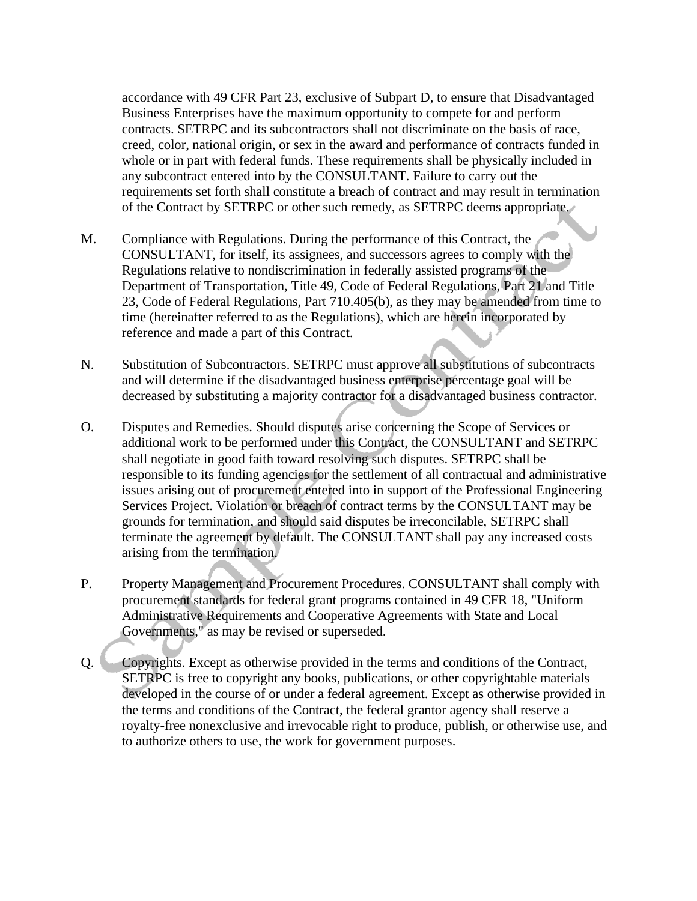accordance with 49 CFR Part 23, exclusive of Subpart D, to ensure that Disadvantaged Business Enterprises have the maximum opportunity to compete for and perform contracts. SETRPC and its subcontractors shall not discriminate on the basis of race, creed, color, national origin, or sex in the award and performance of contracts funded in whole or in part with federal funds. These requirements shall be physically included in any subcontract entered into by the CONSULTANT. Failure to carry out the requirements set forth shall constitute a breach of contract and may result in termination of the Contract by SETRPC or other such remedy, as SETRPC deems appropriate.

- M. Compliance with Regulations. During the performance of this Contract, the CONSULTANT, for itself, its assignees, and successors agrees to comply with the Regulations relative to nondiscrimination in federally assisted programs of the Department of Transportation, Title 49, Code of Federal Regulations, Part 21 and Title 23, Code of Federal Regulations, Part 710.405(b), as they may be amended from time to time (hereinafter referred to as the Regulations), which are herein incorporated by reference and made a part of this Contract.
- N. Substitution of Subcontractors. SETRPC must approve all substitutions of subcontracts and will determine if the disadvantaged business enterprise percentage goal will be decreased by substituting a majority contractor for a disadvantaged business contractor.
- O. Disputes and Remedies. Should disputes arise concerning the Scope of Services or additional work to be performed under this Contract, the CONSULTANT and SETRPC shall negotiate in good faith toward resolving such disputes. SETRPC shall be responsible to its funding agencies for the settlement of all contractual and administrative issues arising out of procurement entered into in support of the Professional Engineering Services Project. Violation or breach of contract terms by the CONSULTANT may be grounds for termination, and should said disputes be irreconcilable, SETRPC shall terminate the agreement by default. The CONSULTANT shall pay any increased costs arising from the termination.
- P. Property Management and Procurement Procedures. CONSULTANT shall comply with procurement standards for federal grant programs contained in 49 CFR 18, "Uniform Administrative Requirements and Cooperative Agreements with State and Local Governments," as may be revised or superseded.
- Q. Copyrights. Except as otherwise provided in the terms and conditions of the Contract, SETRPC is free to copyright any books, publications, or other copyrightable materials developed in the course of or under a federal agreement. Except as otherwise provided in the terms and conditions of the Contract, the federal grantor agency shall reserve a royalty-free nonexclusive and irrevocable right to produce, publish, or otherwise use, and to authorize others to use, the work for government purposes.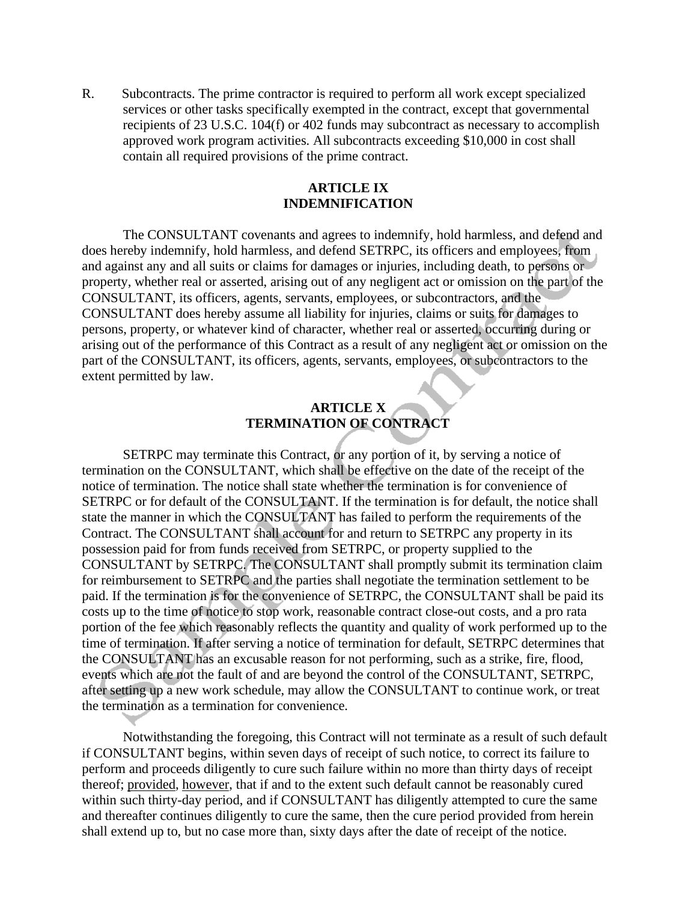R. Subcontracts. The prime contractor is required to perform all work except specialized services or other tasks specifically exempted in the contract, except that governmental recipients of 23 U.S.C. 104(f) or 402 funds may subcontract as necessary to accomplish approved work program activities. All subcontracts exceeding \$10,000 in cost shall contain all required provisions of the prime contract.

## **ARTICLE IX INDEMNIFICATION**

The CONSULTANT covenants and agrees to indemnify, hold harmless, and defend and does hereby indemnify, hold harmless, and defend SETRPC, its officers and employees, from and against any and all suits or claims for damages or injuries, including death, to persons or property, whether real or asserted, arising out of any negligent act or omission on the part of the CONSULTANT, its officers, agents, servants, employees, or subcontractors, and the CONSULTANT does hereby assume all liability for injuries, claims or suits for damages to persons, property, or whatever kind of character, whether real or asserted, occurring during or arising out of the performance of this Contract as a result of any negligent act or omission on the part of the CONSULTANT, its officers, agents, servants, employees, or subcontractors to the extent permitted by law.

## **ARTICLE X TERMINATION OF CONTRACT**

SETRPC may terminate this Contract, or any portion of it, by serving a notice of termination on the CONSULTANT, which shall be effective on the date of the receipt of the notice of termination. The notice shall state whether the termination is for convenience of SETRPC or for default of the CONSULTANT. If the termination is for default, the notice shall state the manner in which the CONSULTANT has failed to perform the requirements of the Contract. The CONSULTANT shall account for and return to SETRPC any property in its possession paid for from funds received from SETRPC, or property supplied to the CONSULTANT by SETRPC. The CONSULTANT shall promptly submit its termination claim for reimbursement to SETRPC and the parties shall negotiate the termination settlement to be paid. If the termination is for the convenience of SETRPC, the CONSULTANT shall be paid its costs up to the time of notice to stop work, reasonable contract close-out costs, and a pro rata portion of the fee which reasonably reflects the quantity and quality of work performed up to the time of termination. If after serving a notice of termination for default, SETRPC determines that the CONSULTANT has an excusable reason for not performing, such as a strike, fire, flood, events which are not the fault of and are beyond the control of the CONSULTANT, SETRPC, after setting up a new work schedule, may allow the CONSULTANT to continue work, or treat the termination as a termination for convenience.

Notwithstanding the foregoing, this Contract will not terminate as a result of such default if CONSULTANT begins, within seven days of receipt of such notice, to correct its failure to perform and proceeds diligently to cure such failure within no more than thirty days of receipt thereof; provided, however, that if and to the extent such default cannot be reasonably cured within such thirty-day period, and if CONSULTANT has diligently attempted to cure the same and thereafter continues diligently to cure the same, then the cure period provided from herein shall extend up to, but no case more than, sixty days after the date of receipt of the notice.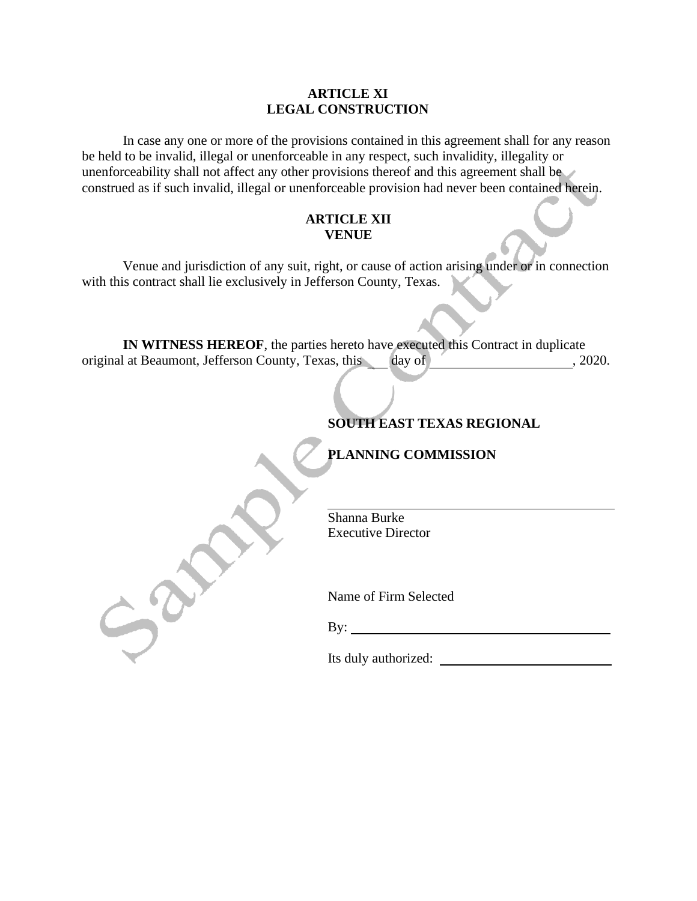## **ARTICLE XI LEGAL CONSTRUCTION**

In case any one or more of the provisions contained in this agreement shall for any reason be held to be invalid, illegal or unenforceable in any respect, such invalidity, illegality or unenforceability shall not affect any other provisions thereof and this agreement shall be construed as if such invalid, illegal or unenforceable provision had never been contained herein.

## **ARTICLE XII VENUE**

Venue and jurisdiction of any suit, right, or cause of action arising under or in connection with this contract shall lie exclusively in Jefferson County, Texas.

**IN WITNESS HEREOF**, the parties hereto have executed this Contract in duplicate original at Beaumont, Jefferson County, Texas, this day of , 2020.

# **SOUTH EAST TEXAS REGIONAL**

## **PLANNING COMMISSION**

Shanna Burke Executive Director

Name of Firm Selected

By:

Its duly authorized: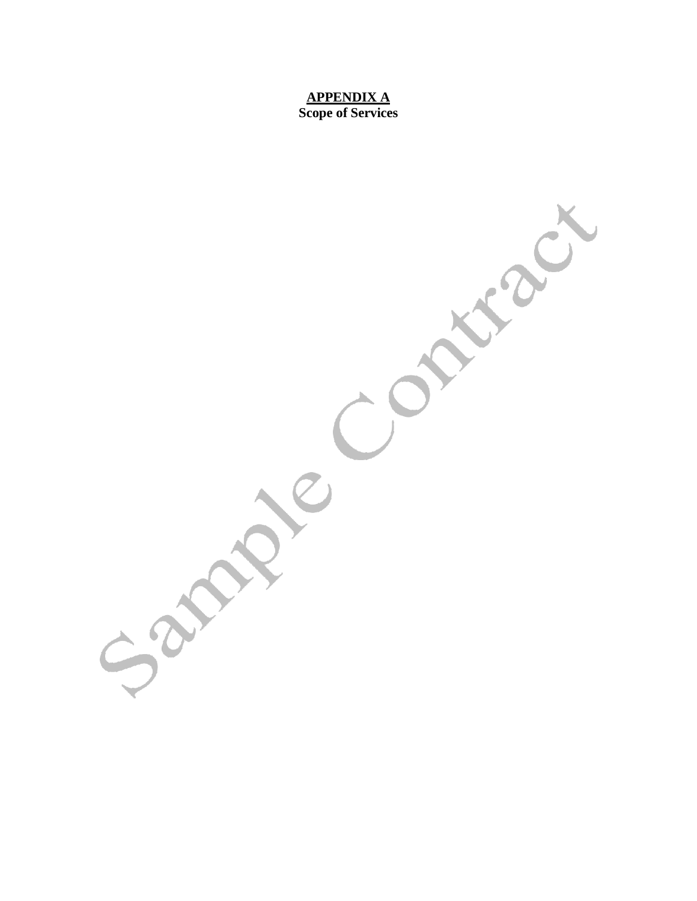**APPENDIX A**

**SCONTER**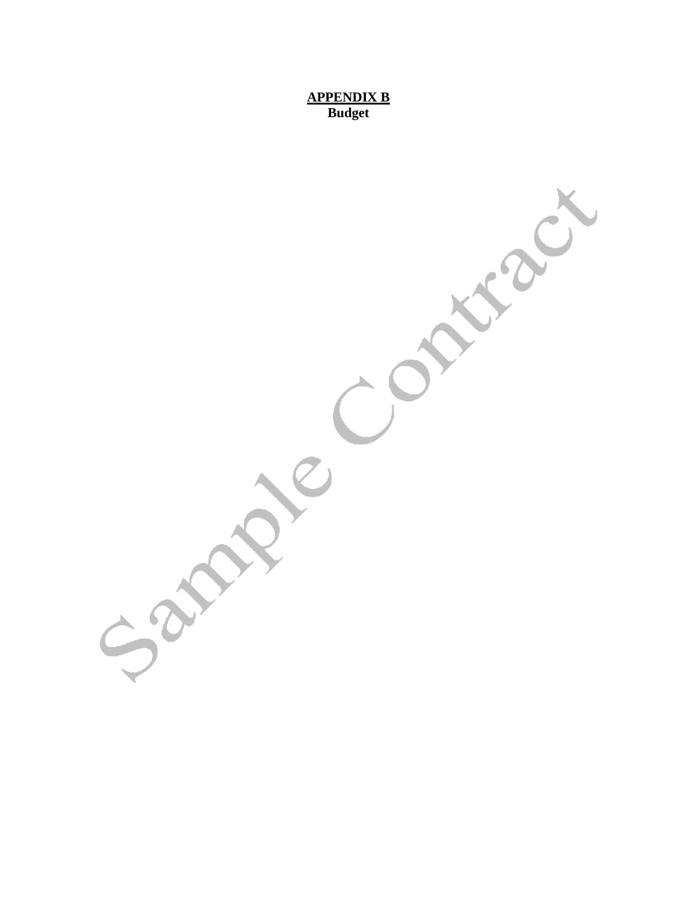**APPENDIX B Budget**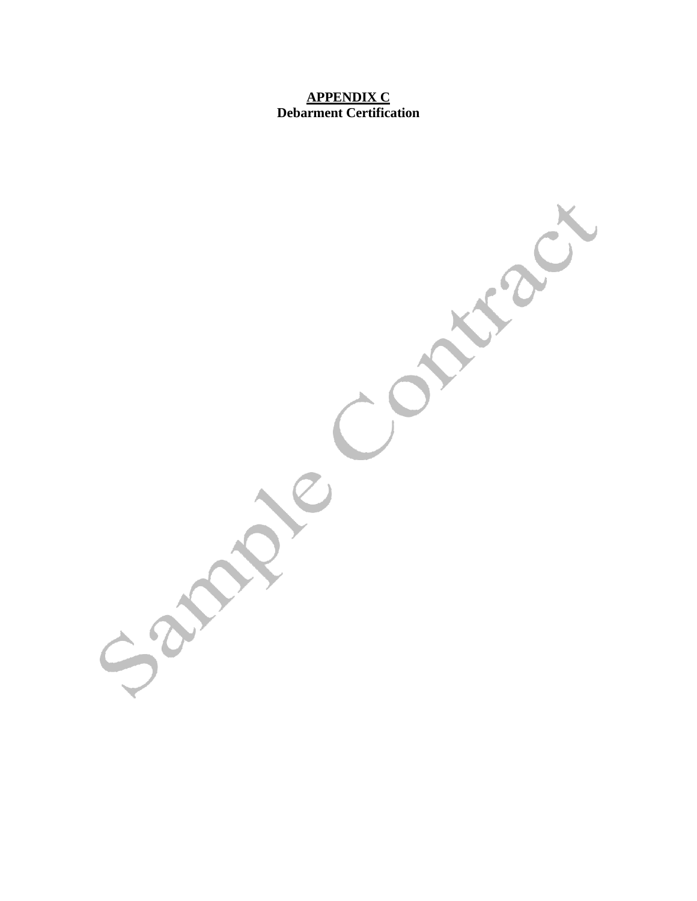**APPENDIX C Debarment Certification**

Contract